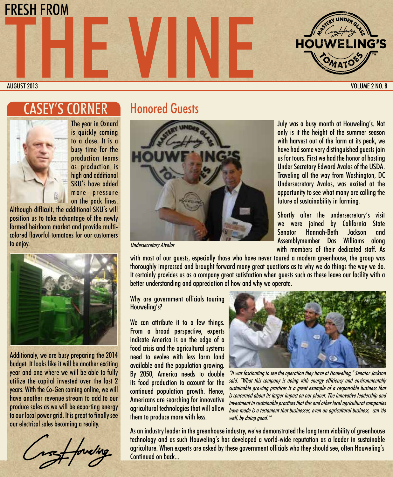

AUGUST 2013 VOLUME 2 NO. 8

## 'S CORNER



The year in Oxnard is quickly coming to a close. It is a busy time for the production teams as production is high and additional SKU's have added more pressure on the pack lines.

Although difficult, the additional SKU's will position us to take advantage of the newly formed heirloom market and provide multicolored flavorful tomatoes for our customers to enjoy.



Additionaly, we are busy preparing the 2014 budget. It looks like it will be another exciting year and one where we will be able to fully utilize the capital invested over the last 2 years. With the Co-Gen coming online, we will have another revenue stream to add to our produce sales as we will be exporting energy to our local power grid. It is great to finally see our electrical sales becoming a reality.

## Honored Guests



Undersecretary Alvalos

July was a busy month at Houweling's. Not only is it the height of the summer season with harvest out of the farm at its peak, we have had some very distinguished guests join us for tours. First we had the honor of hosting Under Secretary Edward Avalos of the USDA. Traveling all the way from Washington, DC Undersecretary Avalos, was excited at the opportunity to see what many are calling the future of sustainability in farming.

Shortly after the undersecretary's visit we were joined by California State Senator Hannah-Beth Jackson and Assemblymember Das Williams along with members of their dedicated staff. As

with most of our guests, especially those who have never toured a modern greenhouse, the group was thoroughly impressed and brought forward many great questions as to why we do things the way we do. It certainly provides us as a company great satisfaction when guests such as these leave our facility with a better understanding and appreciation of how and why we operate.

Why are government officials touring Houweling's?

We can attribute it to a few things. From a broad perspective, experts indicate America is on the edge of a food crisis and the agricultural systems need to evolve with less farm land available and the population growing. By 2050, America needs to double its food production to account for the continued population growth. Hence, Americans are searching for innovative agricultural technologies that will allow them to produce more with less.



"It was fascinating to see the operation they have at Houweling," Senator Jackson said. "What this company is doing with energy efficiency and environmentally sustainable growing practices is a great example of a responsible business that is concerned about its larger impact on our planet. The innovative leadership and investment in sustainable practices that this and other local agricultural companies have made is a testament that businesses, even an agricultural business, can 'do well, by doing good.'"

As an industry leader in the greenhouse industry, we've demonstrated the long term viability of greenhouse technology and as such Houweling's has developed a world-wide reputation as a leader in sustainable agriculture. When experts are asked by these government officials who they should see, often Houweling's Continued on back...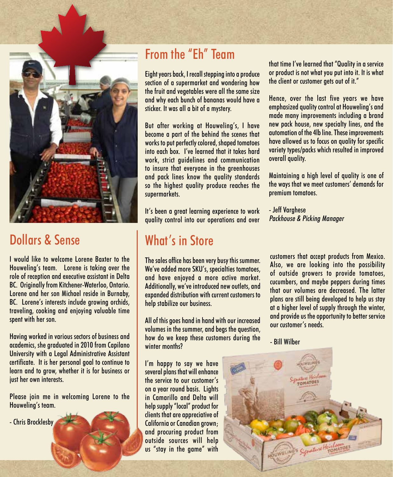

# Dollars & Sense

I would like to welcome Lorene Baxter to the Houweling's team. Lorene is taking over the role of reception and executive assistant in Delta BC. Originally from Kitchener-Waterloo, Ontario. Lorene and her son Michael reside in Burnaby, BC. Lorene's interests include growing orchids, traveling, cooking and enjoying valuable time spent with her son.

Having worked in various sectors of business and academics, she graduated in 2010 from Capilano University with a Legal Administrative Assistant certificate. It is her personal goal to continue to learn and to grow, whether it is for business or just her own interests.

Please join me in welcoming Lorene to the Houweling's team.

- Chris Brocklesby

# From the "Eh" Team

Eight years back, I recall stepping into a produce section of a supermarket and wondering how the fruit and vegetables were all the same size and why each bunch of bananas would have a sticker. It was all a bit of a mystery.

But after working at Houweling's, I have become a part of the behind the scenes that works to put perfectly colored, shaped tomatoes into each box. I've learned that it takes hard work, strict guidelines and communication to insure that everyone in the greenhouses and pack lines know the quality standards so the highest quality produce reaches the supermarkets.

It's been a great learning experience to work quality control into our operations and over

## What's in Store

The sales office has been very busy this summer. We've added more SKU's, specialties tomatoes, and have enjoyed a more active market. Additionally, we've introduced new outlets, and expanded distribution with current customers to help stabilize our business.

All of this goes hand in hand with our increased volumes in the summer, and begs the question, how do we keep these customers during the winter months?

I'm happy to say we have several plans that will enhance the service to our customer's on a year round basis. Lights in Camarillo and Delta will help supply "local" product for clients that are appreciative of California or Canadian grown; and procuring product from outside sources will help us "stay in the game" with

that time I've learned that "Quality in a service or product is not what you put into it. It is what the client or customer gets out of it."

Hence, over the last five years we have emphasized quality control at Houweling's and made many improvements including a brand new pack house, new specialty lines, and the automation of the 4lb line. These improvements have allowed us to focus on quality for specific variety types/packs which resulted in improved overall quality.

Maintaining a high level of quality is one of the ways that we meet customers' demands for premium tomatoes.

- Jeff Varghese Packhouse & Picking Manager

customers that accept products from Mexico. Also, we are looking into the possibility of outside growers to provide tomatoes, cucumbers, and maybe peppers during times that our volumes are decreased. The latter plans are still being developed to help us stay at a higher level of supply through the winter, and provide us the opportunity to better service our customer's needs.

- Bill Wilber

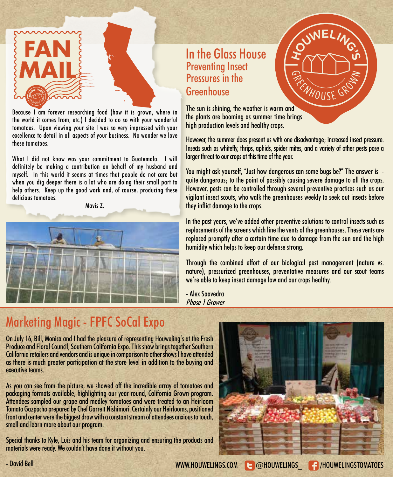

Because I am forever researching food (how it is grown, where in the world it comes from, etc.) I decided to do so with your wonderful tomatoes. Upon viewing your site I was so very impressed with your excellence to detail in all aspects of your business. No wonder we love these tomatoes.

What I did not know was your commitment to Guatemala. I will definitely be making a contribution on behalf of my husband and myself. In this world it seems at times that people do not care but when you dig deeper there is a lot who are doing their small part to help others. Keep up the good work and, of course, producing these delicious tomatoes.

Mavis Z.



### In the Glass House Preventing Insect Pressures in the Greenhouse



However, the summer does present us with one disadvantage; increased insect pressure. Insects such as whitefly, thrips, aphids, spider mites, and a variety of other pests pose a larger threat to our crops at this time of the year.

**SWELING** 

**NHOUSE GP** 

You might ask yourself, "Just how dangerous can some bugs be?" The answer is quite dangerous; to the point of possibly causing severe damage to all the crops. However, pests can be controlled through several preventive practices such as our vigilant insect scouts, who walk the greenhouses weekly to seek out insects before they inflict damage to the crops.

In the past years, we've added other preventive solutions to control insects such as replacements of the screens which line the vents of the greenhouses. These vents are replaced promptly after a certain time due to damage from the sun and the high humidity which helps to keep our defense strong.

Through the combined effort of our biological pest management (nature vs. nature), pressurized greenhouses, preventative measures and our scout teams we're able to keep insect damage low and our crops healthy.

- Alex Saavedra Phase 1 Grower

# Marketing Magic - FPFC SoCal Expo

On July 16, Bill, Monica and I had the pleasure of representing Houweling's at the Fresh Produce and Floral Council, Southern California Expo. This show brings together Southern California retailers and vendors and is unique in comparison to other shows I have attended as there is much greater participation at the store level in addition to the buying and executive teams.

As you can see from the picture, we showed off the incredible array of tomatoes and packaging formats available, highlighting our year-round, California Grown program. Attendees sampled our grape and medley tomatoes and were treated to an Heirloom Tomato Gazpacho prepared by Chef Garrett Nishimori. Certainly our Heirlooms, positioned front and center were the biggest draw with a constant stream of attendees anxious to touch, smell and learn more about our program.

Special thanks to Kyle, Luis and his team for organizing and ensuring the products and materials were ready. We couldn't have done it without you.



- David Bell WWW.HOUWELINGS.COM **@houwelings\_ /houwelingstomatoes**